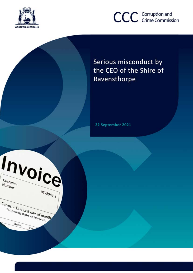



Serious misconduct by the CEO of the Shire of Ravensthorpe

22 September 2021

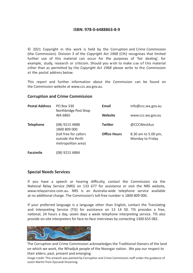#### **ISBN: 978-0-6488863-8-9**

© 2021 Copyright in this work is held by the Corruption and Crime Commission (the Commission). Division 3 of the *Copyright Act 1968* (Cth) recognises that limited further use of this material can occur for the purposes of 'fair dealing', for example, study, research or criticism. Should you wish to make use of this material other than as permitted by the *Copyright Act 1968* please write to the Commission at the postal address below.

This report and further information about the Commission can be found on the Commission website at www.ccc.wa.gov.au.

#### **Corruption and Crime Commission**

| <b>Postal Address</b> | <b>PO Box 330</b><br>Northbridge Post Shop                        | Email               | info@ccc.wa.gov.au                      |
|-----------------------|-------------------------------------------------------------------|---------------------|-----------------------------------------|
|                       | WA 6865                                                           | <b>Website</b>      | www.ccc.wa.gov.au                       |
| <b>Telephone</b>      | (08) 9215 4888<br>1800 809 000                                    | Twitter             | @CCCWestAus                             |
|                       | (toll free for callers<br>outside the Perth<br>metropolitan area) | <b>Office Hours</b> | 8.30 am to 5.00 pm,<br>Monday to Friday |

**Facsimile** (08) 9215 4884

#### **Special Needs Services**

If you have a speech or hearing difficulty, contact the Commission via the National Relay Service (NRS) on 133 677 for assistance or visit the NRS website, www.relayservice.com.au. NRS is an Australia-wide telephone service available at no additional charge. The Commission's toll-free number is 1800 809 000.

If your preferred language is a language other than English, contact the Translating and Interpreting Service (TIS) for assistance on 13 14 50. TIS provides a free, national, 24 hours a day, seven days a week telephone interpreting service. TIS also provide on-site interpreters for face-to-face interviews by contacting 1300 655 082.



The Corruption and Crime Commission acknowledges the Traditional Owners of the land on which we work, the Whadjuk people of the Noongar nation. We pay our respect to their elders; past, present and emerging.

Image credit: This artwork was painted by Corruption and Crime Commission staff under the guidance of Justin Martin from Djurandi Dreaming.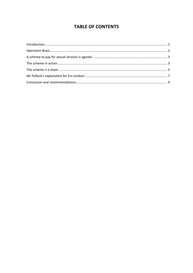# **TABLE OF CONTENTS**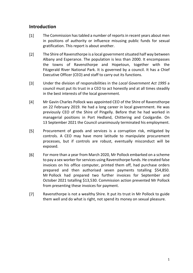### <span id="page-3-0"></span>**Introduction**

- $[1]$ The Commission has tabled a number of reports in recent years about men in positions of authority or influence misusing public funds for sexual gratification. This report is about another.
- $\lceil 2 \rceil$ The Shire of Ravensthorpe is a local government situated half way between Albany and Esperance. The population is less than 2000. It encompasses the towns of Ravensthorpe and Hopetoun, together with the Fitzgerald River National Park. It is governed by a council. It has a Chief Executive Officer (CEO) and staff to carry out its functions.
- $\lceil 3 \rceil$ Under the division of responsibilities in the *Local Government Act 1995* a council must put its trust in a CEO to act honestly and at all times steadily in the best interests of the local government.
- $[4]$ Mr Gavin Charles Pollock was appointed CEO of the Shire of Ravensthorpe on 22 February 2019. He had a long career in local government. He was previously CEO of the Shire of Pingelly. Before that he had worked in managerial positions in Port Hedland, Chittering and Coolgardie. On 13 September 2021 the Council unanimously terminated his employment.
- $[5]$ Procurement of goods and services is a corruption risk, mitigated by controls. A CEO may have more latitude to manipulate procurement processes, but if controls are robust, eventually misconduct will be exposed.
- $[6]$ For more than a year from March 2020, Mr Pollock embarked on a scheme to pay a sex worker for services using Ravensthorpe funds. He created false invoices on his office computer, printed them off, had purchase orders prepared and then authorised seven payments totalling \$54,850. Mr Pollock had prepared two further invoices for September and October 2021 totalling \$13,530. Commission action prevented Mr Pollock from presenting these invoices for payment.
- $[7]$ Ravensthorpe is not a wealthy Shire. It put its trust in Mr Pollock to guide them well and do what is right, not spend its money on sexual pleasure.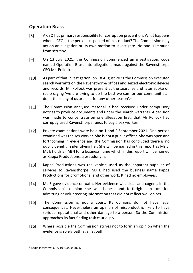# <span id="page-4-0"></span>**Operation Brass**

- $[8]$ A CEO has primary responsibility for corruption prevention. What happens when a CEO is the person suspected of misconduct? The Commission may act on an allegation or its own motion to investigate. No-one is immune from scrutiny.
- $[9]$ On 13 July 2021, the Commission commenced an investigation, code named Operation Brass into allegations made against the Ravensthorpe CEO Mr Pollock.
- $[10]$ As part of that investigation, on 18 August 2021 the Commission executed search warrants on the Ravensthorpe offices and seized electronic devices and records. Mr Pollock was present at the searches and later spoke on radio saying 'we are trying to do the best we can for our communities. I don't think any of us are in it for any other reason'.<sup>[1](#page-4-1)</sup>
- $[11]$ The Commission analysed material it had received under compulsory notices to produce documents and under the search warrants. A decision was made to concentrate on one allegation first, that Mr Pollock had corruptly used Ravensthorpe funds to pay a sex worker.
- $[12]$ Private examinations were held on 1 and 2 September 2021. One person examined was the sex worker. She is not a public officer. She was open and forthcoming in evidence and the Commission has concluded there is no public benefit in identifying her. She will be named in this report as Ms E. Ms E holds an ABN for a business name which in this report will be named as Kappa Productions, a pseudonym.
- $[13]$ Kappa Productions was the vehicle used as the apparent supplier of services to Ravensthorpe. Ms E had used the business name Kappa Productions for promotional and other work. It had no employees.
- $[14]$ Ms E gave evidence on oath. Her evidence was clear and cogent. In the Commission's opinion she was honest and forthright, on occasion admitting or volunteering information that did not reflect well on her.
- $[15]$ The Commission is not a court. Its opinions do not have legal consequences. Nevertheless an opinion of misconduct is likely to have serious reputational and other damage to a person. So the Commission approaches its fact finding task cautiously.
- $[16]$ Where possible the Commission strives not to form an opinion when the evidence is solely oath against oath.

<span id="page-4-1"></span> <sup>1</sup> Radio interview, 6PR, 19 August 2021.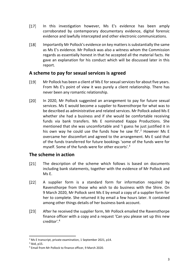- $[17]$ In this investigation however, Ms E's evidence has been amply corroborated by contemporary documentary evidence, digital forensic evidence and lawfully intercepted and other electronic communications.
- $[18]$ Importantly Mr Pollock's evidence on key matters is substantially the same as Ms E's evidence. Mr Pollock was also a witness whom the Commission regards as essentially honest in that he accepted all the material facts. He gave an explanation for his conduct which will be discussed later in this report.

### <span id="page-5-0"></span>**A scheme to pay for sexual services is agreed**

- $[19]$ Mr Pollock has been a client of Ms E for sexual services for about five years. From Ms E's point of view it was purely a client relationship. There has never been any romantic relationship.
- $[20]$ In 2020, Mr Pollock suggested an arrangement to pay for future sexual services. Ms E would become a supplier to Ravensthorpe for what was to be described as administrative and related services. Mr Pollock asked Ms E whether she had a business and if she would be comfortable receiving funds via bank transfers. Ms E nominated Kappa Productions. She mentioned that she was uncomfortable and 'I guess he just justified it in his own way he could use the funds how he saw fit'.<sup>[2](#page-5-2)</sup> However Ms E overcame her discomfort and agreed to the arrangement. Ms E said that of the funds transferred for future bookings 'some of the funds were for myself. Some of the funds were for other escorts'.<sup>[3](#page-5-3)</sup>

# <span id="page-5-1"></span>**The scheme in action**

- $[21]$ The description of the scheme which follows is based on documents including bank statements, together with the evidence of Mr Pollock and Ms E.
- $[22]$ A supplier form is a standard form for information required by Ravensthorpe from those who wish to do business with the Shire. On 9 March 2020, Mr Pollock sent Ms E by email a copy of a supplier form for her to complete. She returned it by email a few hours later. It contained among other things details of her business bank account.
- $[23]$ After he received the supplier form, Mr Pollock emailed the Ravensthorpe finance officer with a copy and a request 'Can you please set up this new creditor'.[4](#page-5-4)

<span id="page-5-2"></span> $2$  Ms E transcript, private examination, 1 September 2021, p14.

<span id="page-5-3"></span> $3$  Ibid, p15.

<span id="page-5-4"></span><sup>4</sup> Email from Mr Pollock to finance officer, 9 March 2020.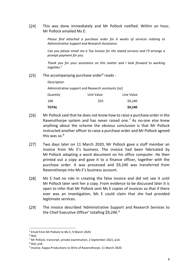$[24]$ This was done immediately and Mr Pollock notified. Within an hour, Mr Pollock emailed Ms E:

> *Please find attached a purchase order for 6 weeks of services relating to Administrative Support and Research Assistance.*

> *Can you please email me a Tax Invoice for the stated services and I'll arrange a prompt payment for you.*

> *Thank you for your assistance on this matter and I look forward to working together.[5](#page-6-0)*

 $[25]$ The accompanying purchase order<sup>[6](#page-6-1)</sup> reads -

Description

Administrative support and Research assistants [sic]

| Quantity | Unit Value | Line Value |
|----------|------------|------------|
| 168      | \$55       | \$9,240    |
| ΤΟΤΑL    |            | \$9,240    |

- $[26]$ Mr Pollock said that he does not know how to raise a purchase order in the Ravensthorpe system and has never raised one. $<sup>7</sup>$  $<sup>7</sup>$  $<sup>7</sup>$  As no-one else knew</sup> anything about the scheme the obvious conclusion is that Mr Pollock instructed another officer to raise a purchase order and Mr Pollock agreed this was so.<sup>[8](#page-6-3)</sup>
- $[27]$ Two days later on 11 March 2020, Mr Pollock gave a staff member an invoice from Ms E's business. The invoice had been fabricated by Mr Pollock adapting a word document on his office computer. He then printed out a copy and gave it to a finance officer, together with the purchase order. It was processed and \$9,240 was transferred from Ravensthorpe into Ms E's business account.
- $[28]$ Ms E had no role in creating the false invoice and did not see it until Mr Pollock later sent her a copy. From evidence to be discussed later it is open to infer that Mr Pollock sent Ms E copies of invoices so that if there ever was an investigation, Ms E could claim that she had provided legitimate services.
- $[29]$ The invoice described 'Administrative Support and Research Services to the Chief Executive Officer' totalling \$[9](#page-6-4),240.<sup>9</sup>

<span id="page-6-0"></span> <sup>5</sup> Email from Mr Pollock to Ms E, 9 March 2020.

<span id="page-6-1"></span> $6$  Ibid.

<sup>7</sup> Mr Pollock, transcript, private examination, 2 September 2021, p14.

<span id="page-6-3"></span><span id="page-6-2"></span> $8$  Ibid, p16.

<span id="page-6-4"></span><sup>9</sup> Invoice, Kappa Productions to Shire of Ravensthorpe, 11 March 2020.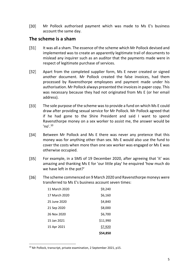$[30]$ Mr Pollock authorised payment which was made to Ms E's business account the same day.

### <span id="page-7-0"></span>**The scheme is a sham**

- $[31]$ It was all a sham. The essence of the scheme which Mr Pollock devised and implemented was to create an apparently legitimate trail of documents to mislead any inquirer such as an auditor that the payments made were in respect of legitimate purchase of services.
- Apart from the completed supplier form, Ms E never created or signed  $[32]$ another document. Mr Pollock created the false invoices, had them processed by Ravensthorpe employees and payment made under his authorisation. Mr Pollock always presented the invoices in paper copy. This was necessary because they had not originated from Ms E (or her email address).
- $[33]$ The sole purpose of the scheme was to provide a fund on which Ms E could draw after providing sexual service for Mr Pollock. Mr Pollock agreed that if he had gone to the Shire President and said I want to spend Ravensthorpe money on a sex worker to assist me, the answer would be  $'no'.<sup>10</sup>$  $'no'.<sup>10</sup>$  $'no'.<sup>10</sup>$
- $[34]$ Between Mr Pollock and Ms E there was never any pretence that this money was for anything other than sex. Ms E would also use the fund to cover the costs when more than one sex worker was engaged or Ms E was otherwise occupied.
- $[35]$ For example, in a SMS of 19 December 2020, after agreeing that 'it' was amazing and thanking Ms E for 'our little play' he enquired 'how much do we have left in the pot?'
- $[36]$ The scheme commenced on 9 March 2020 and Ravensthorpe moneys were transferred to Ms E's business account seven times:

|               | \$54,850 |
|---------------|----------|
| 15 Apr 2021   | \$7,920  |
| 15 Jan 2021   | \$11,990 |
| 26 Nov 2020   | \$6,700  |
| 21 Sep 2020   | \$8,000  |
| 25 June 2020  | \$4,840  |
| 17 March 2020 | \$6,160  |
| 11 March 2020 | \$9,240  |

<span id="page-7-1"></span><sup>&</sup>lt;sup>10</sup> Mr Pollock, transcript, private examination, 2 September 2021, p15.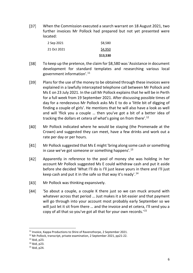$[37]$ When the Commission executed a search warrant on 18 August 2021, two further invoices Mr Pollock had prepared but not yet presented were located:

|             | \$13,530 |
|-------------|----------|
| 21 Oct 2021 | \$4,950  |
| 2 Sep 2021  | \$8,580  |

- $[38]$ To keep up the pretence, the claim for \$8,580 was 'Assistance in document development for standard templates and researching various local government information'.[11](#page-8-0)
- $[39]$ Plans for the use of the money to be obtained through these invoices were explained in a lawfully intercepted telephone call between Mr Pollock and Ms E on 23 July 2021. In the call Mr Pollock explains that he will be in Perth for a full week from 19 September 2021. After discussing possible times of day for a rendezvous Mr Pollock asks Ms E to do a 'little bit of digging of finding a couple of girls'. He mentions that he will also have a look as well and will 'flick you a couple … then you've got a bit of a better idea of tracking the dollars et cetera of what's going on from there'.<sup>[12](#page-8-1)</sup>
- $[40]$ Mr Pollock indicated where he would be staying (the Promenade at the Crown) and suggested they can meet, have a few drinks and work out a rate per day or per hours.
- $[41]$ Mr Pollock suggested that Ms E might 'bring along some cash or something in case we've got someone or something happens'.<sup>[13](#page-8-2)</sup>
- $[42]$ Apparently in reference to the pool of money she was holding in her account Mr Pollock suggested Ms E could withdraw cash and put it aside before she decided 'What I'll do is I'll just leave yours in there and I'll just keep cash and put it in the safe so that way it's ready'.<sup>[14](#page-8-3)</sup>
- $[43]$ Mr Pollock was thinking expansively.
- $[44]$ 'So about a couple, a couple K there just so we can muck around with whatever across that period … Just makes it a bit easier and that payment will go through into your account most probably early September so we will just let it sit from there … and the invoice and et cetera, I'll send you a copy of all that so you've got all that for your own records.' [15](#page-8-4)

<span id="page-8-0"></span> <sup>11</sup> Invoice, Kappa Productions to Shire of Ravensthorpe, 2 September 2021.

<span id="page-8-1"></span><sup>&</sup>lt;sup>12</sup> Mr Pollock, transcript, private examination, 2 September 2021, pp21-22.

<span id="page-8-2"></span><sup>13</sup> Ibid, p23.

<span id="page-8-3"></span><sup>14</sup> Ibid, p23.

<span id="page-8-4"></span> $15$  Ibid, p $24$ .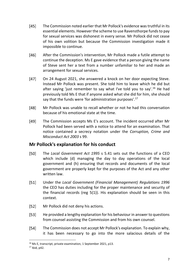- $[45]$ The Commission noted earlier that Mr Pollock's evidence was truthful in its essential elements. However the scheme to use Ravensthorpe funds to pay for sexual services was dishonest in every sense. Mr Pollock did not cease of his own volition but because the Commission investigation made it impossible to continue.
- $[46]$ After the Commission's intervention, Mr Pollock made a futile attempt to continue the deception. Ms E gave evidence that a person giving the name of Steve sent her a text from a number unfamiliar to her and made an arrangement for sexual services.
- $[47]$ On 24 August 2021, she answered a knock on her door expecting Steve. Instead Mr Pollock was present. She told him to leave which he did but after saying 'just remember to say what I've told you to say'.<sup>[16](#page-9-1)</sup> He had previously told Ms E that if anyone asked what she did for him, she should say that the funds were 'for administration purposes'.<sup>[17](#page-9-2)</sup>
- $[48]$ Mr Pollock was unable to recall whether or not he had this conversation because of his emotional state at the time.
- $[49]$ The Commission accepts Ms E's account. The incident occurred after Mr Pollock had been served with a notice to attend for an examination. That notice contained a secrecy notation under the *Corruption, Crime and Misconduct Act 2003* s 99.

# <span id="page-9-0"></span>**Mr Pollock's explanation for his conduct**

- $[50]$ The *Local Government Act 1995* s 5.41 sets out the functions of a CEO which include (d) managing the day to day operations of the local government and (h) ensuring that records and documents of the local government are properly kept for the purposes of the Act and any other written law.
- $[51]$ Under the *Local Government (Financial Management) Regulations 1996* the CEO has duties including for the proper maintenance and security of the financial records (reg 5(1)). His explanation should be seen in this context.
- $[52]$ Mr Pollock did not deny his actions.
- $[53]$ He provided a lengthy explanation for his behaviour in answer to questions from counsel assisting the Commission and from his own counsel.
- $[54]$ The Commission does not accept Mr Pollock's explanation. To explain why, it has been necessary to go into the more salacious details of the

<span id="page-9-1"></span><sup>&</sup>lt;sup>16</sup> Ms E, transcript, private examination, 1 September 2021, p13.

<span id="page-9-2"></span><sup>17</sup> Ibid, p42.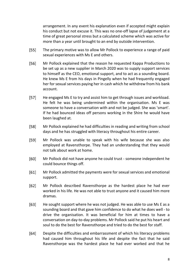arrangement. In any event his explanation even if accepted might explain his conduct but not excuse it. This was no one-off lapse of judgement at a time of great personal stress but a calculated scheme which was active for more than a year until brought to an end by outside intervention.

- $[55]$ The primary motive was to allow Mr Pollock to experience a range of paid sexual experiences with Ms E and others.
- $[56]$ Mr Pollock explained that the reason he requested Kappa Productions to be set up as a new supplier in March 2020 was to supply support services to himself as the CEO, emotional support, and to act as a sounding board. He knew Ms E from his days in Pingelly when he had frequently engaged her for sexual services paying her in cash which he withdrew from his bank account.
- $[57]$ He engaged Ms E to try and assist him to get through issues and workload. He felt he was being undermined within the organisation. Ms E was someone to have a conversation with and not be judged. She was 'smart'. If he had bounced ideas off persons working in the Shire he would have been laughed at.
- $[58]$ Mr Pollock explained he had difficulties in reading and writing from school days and he has struggled with literacy throughout his entire career.
- $[59]$ Mr Pollock was unable to speak with his wife because she was also employed at Ravensthorpe. They had an understanding that they would not talk about work at home.
- $[60]$ Mr Pollock did not have anyone he could trust - someone independent he could bounce things off.
- $[61]$ Mr Pollock admitted the payments were for sexual services and emotional support.
- $[62]$ Mr Pollock described Ravensthorpe as the hardest place he had ever worked in his life. He was not able to trust anyone and it caused him more dramas.
- $[63]$ He sought support where he was not judged. He was able to use Ms E as a sounding board and that gave him confidence to do what he does well - to drive the organisation. It was beneficial for him at times to have a conversation on day-to-day problems. Mr Pollock said he put his heart and soul to do the best for Ravensthorpe and tried to do the best for staff.
- $[64]$ Despite the difficulties and embarrassment of which his literacy problems had caused him throughout his life and despite the fact that he said Ravensthorpe was the hardest place he had ever worked and that he